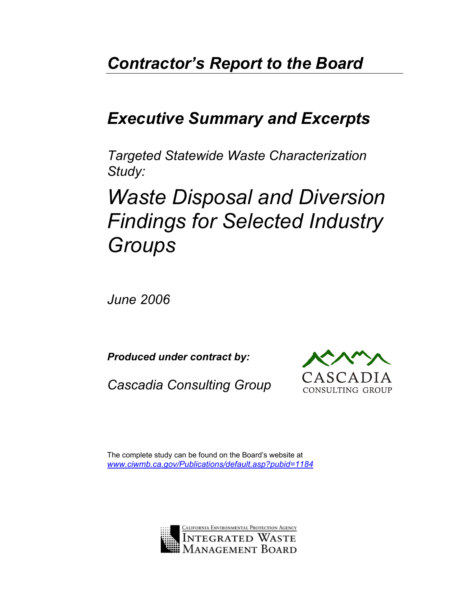## *Contractor's Report to the Board*

## *Executive Summary and Excerpts*

*Targeted Statewide Waste Characterization Study:* 

# *Waste Disposal and Diversion Findings for Selected Industry Groups*

*June 2006*

*Produced under contract by:* 

*Cascadia Consulting Group* 



The complete study can be found on the Board's website at *[www.ciwmb.ca.gov/Publications/default.asp?pubid=1184](http://www.ciwmb.ca.gov/Publications/default.asp?pubid=1184)*

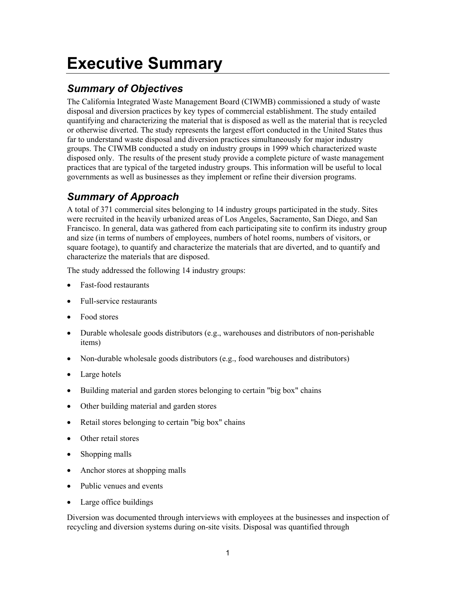## **Executive Summary**

### *Summary of Objectives*

The California Integrated Waste Management Board (CIWMB) commissioned a study of waste disposal and diversion practices by key types of commercial establishment. The study entailed quantifying and characterizing the material that is disposed as well as the material that is recycled or otherwise diverted. The study represents the largest effort conducted in the United States thus far to understand waste disposal and diversion practices simultaneously for major industry groups. The CIWMB conducted a study on industry groups in 1999 which characterized waste disposed only. The results of the present study provide a complete picture of waste management practices that are typical of the targeted industry groups. This information will be useful to local governments as well as businesses as they implement or refine their diversion programs.

### *Summary of Approach*

A total of 371 commercial sites belonging to 14 industry groups participated in the study. Sites were recruited in the heavily urbanized areas of Los Angeles, Sacramento, San Diego, and San Francisco. In general, data was gathered from each participating site to confirm its industry group and size (in terms of numbers of employees, numbers of hotel rooms, numbers of visitors, or square footage), to quantify and characterize the materials that are diverted, and to quantify and characterize the materials that are disposed.

The study addressed the following 14 industry groups:

- Fast-food restaurants
- Full-service restaurants
- Food stores
- $\bullet$  Durable wholesale goods distributors (e.g., warehouses and distributors of non-perishable items)
- Non-durable wholesale goods distributors (e.g., food warehouses and distributors)
- $\bullet$  Large hotels
- Building material and garden stores belonging to certain "big box" chains
- Other building material and garden stores
- Retail stores belonging to certain "big box" chains
- $\bullet$  Other retail stores
- $\bullet$  Shopping malls
- $\bullet$  Anchor stores at shopping malls
- $\bullet$  Public venues and events
- Large office buildings

Diversion was documented through interviews with employees at the businesses and inspection of recycling and diversion systems during on-site visits. Disposal was quantified through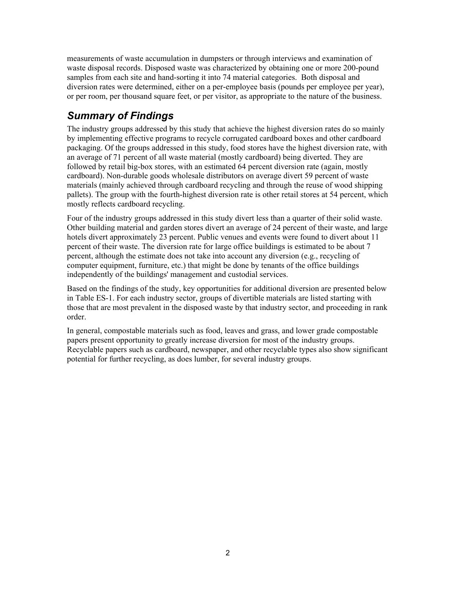measurements of waste accumulation in dumpsters or through interviews and examination of waste disposal records. Disposed waste was characterized by obtaining one or more 200-pound samples from each site and hand-sorting it into 74 material categories. Both disposal and diversion rates were determined, either on a per-employee basis (pounds per employee per year), or per room, per thousand square feet, or per visitor, as appropriate to the nature of the business.

### *Summary of Findings*

The industry groups addressed by this study that achieve the highest diversion rates do so mainly by implementing effective programs to recycle corrugated cardboard boxes and other cardboard packaging. Of the groups addressed in this study, food stores have the highest diversion rate, with an average of 71 percent of all waste material (mostly cardboard) being diverted. They are followed by retail big-box stores, with an estimated 64 percent diversion rate (again, mostly cardboard). Non-durable goods wholesale distributors on average divert 59 percent of waste materials (mainly achieved through cardboard recycling and through the reuse of wood shipping pallets). The group with the fourth-highest diversion rate is other retail stores at 54 percent, which mostly reflects cardboard recycling.

Four of the industry groups addressed in this study divert less than a quarter of their solid waste. Other building material and garden stores divert an average of 24 percent of their waste, and large hotels divert approximately 23 percent. Public venues and events were found to divert about 11 percent of their waste. The diversion rate for large office buildings is estimated to be about 7 percent, although the estimate does not take into account any diversion (e.g., recycling of computer equipment, furniture, etc.) that might be done by tenants of the office buildings independently of the buildings' management and custodial services.

Based on the findings of the study, key opportunities for additional diversion are presented below in Table ES-1. For each industry sector, groups of divertible materials are listed starting with those that are most prevalent in the disposed waste by that industry sector, and proceeding in rank order.

In general, compostable materials such as food, leaves and grass, and lower grade compostable papers present opportunity to greatly increase diversion for most of the industry groups. Recyclable papers such as cardboard, newspaper, and other recyclable types also show significant potential for further recycling, as does lumber, for several industry groups.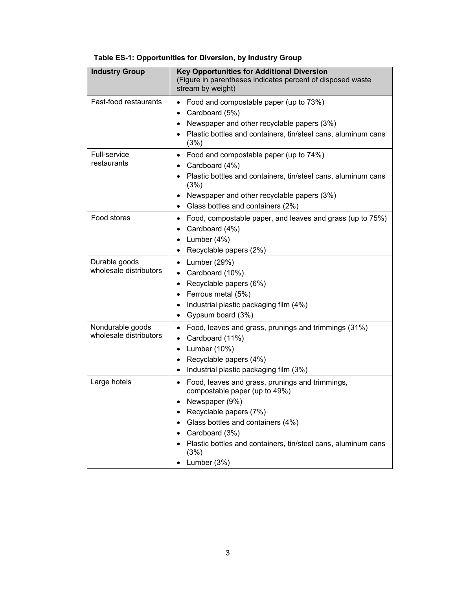| <b>Industry Group</b>                      | <b>Key Opportunities for Additional Diversion</b><br>(Figure in parentheses indicates percent of disposed waste<br>stream by weight)                                                                                                                                        |  |  |  |
|--------------------------------------------|-----------------------------------------------------------------------------------------------------------------------------------------------------------------------------------------------------------------------------------------------------------------------------|--|--|--|
| Fast-food restaurants                      | Food and compostable paper (up to 73%)<br>Cardboard (5%)<br>Newspaper and other recyclable papers (3%)<br>Plastic bottles and containers, tin/steel cans, aluminum cans<br>(3%)                                                                                             |  |  |  |
| <b>Full-service</b><br>restaurants         | Food and compostable paper (up to 74%)<br>٠<br>Cardboard (4%)<br>Plastic bottles and containers, tin/steel cans, aluminum cans<br>(3%)<br>Newspaper and other recyclable papers (3%)<br>Glass bottles and containers (2%)                                                   |  |  |  |
| Food stores                                | Food, compostable paper, and leaves and grass (up to 75%)<br>٠<br>Cardboard (4%)<br>Lumber (4%)<br>Recyclable papers (2%)<br>٠                                                                                                                                              |  |  |  |
| Durable goods<br>wholesale distributors    | Lumber (29%)<br>$\bullet$<br>Cardboard (10%)<br>Recyclable papers (6%)<br>Ferrous metal (5%)<br>Industrial plastic packaging film (4%)<br>٠<br>Gypsum board (3%)                                                                                                            |  |  |  |
| Nondurable goods<br>wholesale distributors | Food, leaves and grass, prunings and trimmings (31%)<br>$\bullet$<br>Cardboard (11%)<br>Lumber (10%)<br>٠<br>Recyclable papers (4%)<br>Industrial plastic packaging film (3%)                                                                                               |  |  |  |
| Large hotels                               | Food, leaves and grass, prunings and trimmings,<br>compostable paper (up to 49%)<br>Newspaper (9%)<br>Recyclable papers (7%)<br>Glass bottles and containers (4%)<br>Cardboard (3%)<br>Plastic bottles and containers, tin/steel cans, aluminum cans<br>(3%)<br>Lumber (3%) |  |  |  |

#### **Table ES-1: Opportunities for Diversion, by Industry Group**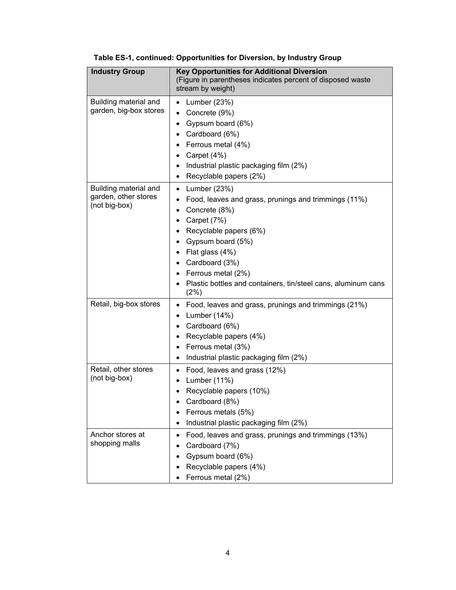| <b>Industry Group</b>                                          | <b>Key Opportunities for Additional Diversion</b><br>(Figure in parentheses indicates percent of disposed waste<br>stream by weight)                                                                                                                                                         |
|----------------------------------------------------------------|----------------------------------------------------------------------------------------------------------------------------------------------------------------------------------------------------------------------------------------------------------------------------------------------|
| Building material and<br>garden, big-box stores                | Lumber (23%)<br>$\bullet$<br>Concrete (9%)<br>Gypsum board (6%)<br>Cardboard (6%)<br>Ferrous metal (4%)<br>Carpet (4%)<br>Industrial plastic packaging film (2%)<br>Recyclable papers (2%)                                                                                                   |
| Building material and<br>garden, other stores<br>(not big-box) | Lumber (23%)<br>٠<br>Food, leaves and grass, prunings and trimmings (11%)<br>Concrete (8%)<br>Carpet (7%)<br>Recyclable papers (6%)<br>Gypsum board (5%)<br>Flat glass (4%)<br>Cardboard (3%)<br>Ferrous metal (2%)<br>Plastic bottles and containers, tin/steel cans, aluminum cans<br>(2%) |
| Retail, big-box stores                                         | Food, leaves and grass, prunings and trimmings (21%)<br>Lumber (14%)<br>Cardboard (6%)<br>Recyclable papers (4%)<br>Ferrous metal (3%)<br>Industrial plastic packaging film (2%)<br>٠                                                                                                        |
| Retail, other stores<br>(not big-box)                          | Food, leaves and grass (12%)<br>Lumber (11%)<br>Recyclable papers (10%)<br>Cardboard (8%)<br>Ferrous metals (5%)<br>Industrial plastic packaging film (2%)                                                                                                                                   |
| Anchor stores at<br>shopping malls                             | Food, leaves and grass, prunings and trimmings (13%)<br>Cardboard (7%)<br>Gypsum board (6%)<br>Recyclable papers (4%)<br>Ferrous metal (2%)                                                                                                                                                  |

#### **Table ES-1, continued: Opportunities for Diversion, by Industry Group**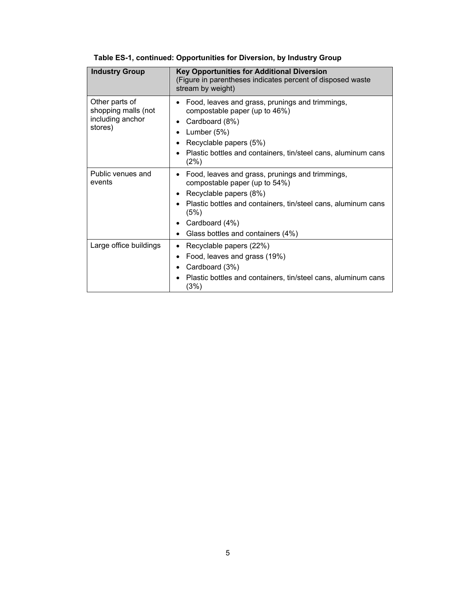| <b>Industry Group</b>                                                | <b>Key Opportunities for Additional Diversion</b><br>(Figure in parentheses indicates percent of disposed waste<br>stream by weight)                                                                                                       |
|----------------------------------------------------------------------|--------------------------------------------------------------------------------------------------------------------------------------------------------------------------------------------------------------------------------------------|
| Other parts of<br>shopping malls (not<br>including anchor<br>stores) | Food, leaves and grass, prunings and trimmings,<br>compostable paper (up to 46%)<br>Cardboard (8%)<br>Lumber $(5%)$<br>Recyclable papers (5%)<br>Plastic bottles and containers, tin/steel cans, aluminum cans<br>(2%)                     |
| Public venues and<br>events                                          | Food, leaves and grass, prunings and trimmings,<br>compostable paper (up to 54%)<br>Recyclable papers (8%)<br>Plastic bottles and containers, tin/steel cans, aluminum cans<br>(5%)<br>Cardboard (4%)<br>Glass bottles and containers (4%) |
| Large office buildings                                               | Recyclable papers (22%)<br>Food, leaves and grass (19%)<br>Cardboard (3%)<br>Plastic bottles and containers, tin/steel cans, aluminum cans<br>(3%)                                                                                         |

#### **Table ES-1, continued: Opportunities for Diversion, by Industry Group**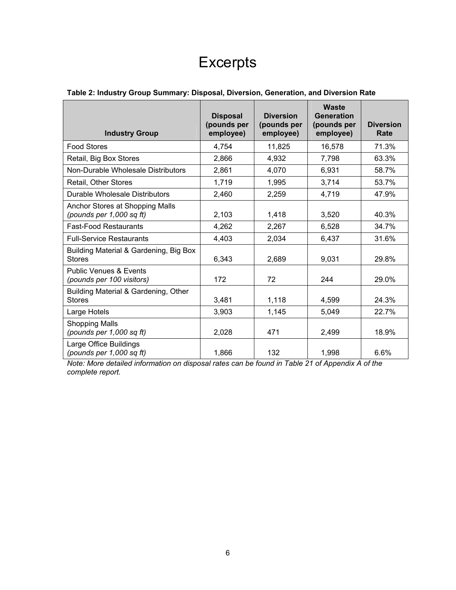## **Excerpts**

| Table 2: Industry Group Summary: Disposal, Diversion, Generation, and Diversion Rate |
|--------------------------------------------------------------------------------------|
|--------------------------------------------------------------------------------------|

| <b>Industry Group</b>                                          | <b>Disposal</b><br>(pounds per<br>employee) | <b>Diversion</b><br>(pounds per<br>employee) | <b>Waste</b><br><b>Generation</b><br>(pounds per<br>employee) | <b>Diversion</b><br>Rate |
|----------------------------------------------------------------|---------------------------------------------|----------------------------------------------|---------------------------------------------------------------|--------------------------|
| <b>Food Stores</b>                                             | 4,754                                       | 11,825                                       | 16,578                                                        | 71.3%                    |
| Retail, Big Box Stores                                         | 2,866                                       | 4,932                                        | 7,798                                                         | 63.3%                    |
| Non-Durable Wholesale Distributors                             | 2,861                                       | 4,070                                        | 6,931                                                         | 58.7%                    |
| Retail, Other Stores                                           | 1,719                                       | 1,995                                        | 3,714                                                         | 53.7%                    |
| Durable Wholesale Distributors                                 | 2,460                                       | 2,259                                        | 4,719                                                         | 47.9%                    |
| Anchor Stores at Shopping Malls<br>(pounds per 1,000 sq ft)    | 2,103                                       | 1,418                                        | 3,520                                                         | 40.3%                    |
| <b>Fast-Food Restaurants</b>                                   | 4,262                                       | 2,267                                        | 6,528                                                         | 34.7%                    |
| <b>Full-Service Restaurants</b>                                | 4,403                                       | 2,034                                        | 6,437                                                         | 31.6%                    |
| Building Material & Gardening, Big Box<br><b>Stores</b>        | 6,343                                       | 2,689                                        | 9,031                                                         | 29.8%                    |
| <b>Public Venues &amp; Events</b><br>(pounds per 100 visitors) | 172                                         | 72                                           | 244                                                           | 29.0%                    |
| Building Material & Gardening, Other<br><b>Stores</b>          | 3,481                                       | 1,118                                        | 4,599                                                         | 24.3%                    |
| Large Hotels                                                   | 3,903                                       | 1,145                                        | 5,049                                                         | 22.7%                    |
| <b>Shopping Malls</b><br>(pounds per 1,000 sq ft)              | 2,028                                       | 471                                          | 2,499                                                         | 18.9%                    |
| Large Office Buildings<br>(pounds per 1,000 sq ft)             | 1,866                                       | 132                                          | 1,998                                                         | 6.6%                     |

*Note: More detailed information on disposal rates can be found in Table 21 of Appendix A of the complete report.*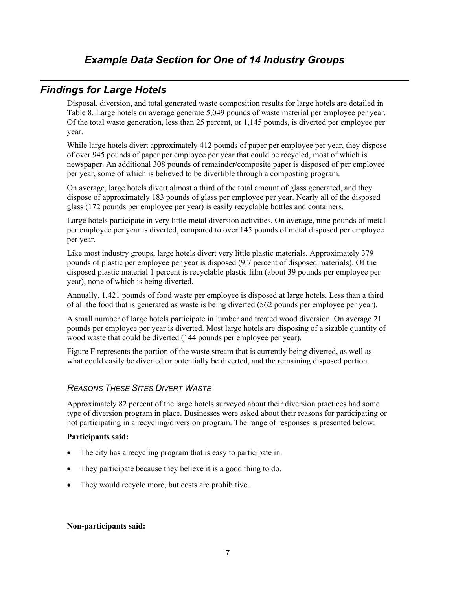### *Findings for Large Hotels*

Disposal, diversion, and total generated waste composition results for large hotels are detailed in [Table](#page-9-0) 8. Large hotels on average generate 5,049 pounds of waste material per employee per year. Of the total waste generation, less than 25 percent, or 1,145 pounds, is diverted per employee per year.

While large hotels divert approximately 412 pounds of paper per employee per year, they dispose of over 945 pounds of paper per employee per year that could be recycled, most of which is newspaper. An additional 308 pounds of remainder/composite paper is disposed of per employee per year, some of which is believed to be divertible through a composting program.

On average, large hotels divert almost a third of the total amount of glass generated, and they dispose of approximately 183 pounds of glass per employee per year. Nearly all of the disposed glass (172 pounds per employee per year) is easily recyclable bottles and containers.

Large hotels participate in very little metal diversion activities. On average, nine pounds of metal per employee per year is diverted, compared to over 145 pounds of metal disposed per employee per year.

Like most industry groups, large hotels divert very little plastic materials. Approximately 379 pounds of plastic per employee per year is disposed (9.7 percent of disposed materials). Of the disposed plastic material 1 percent is recyclable plastic film (about 39 pounds per employee per year), none of which is being diverted.

Annually, 1,421 pounds of food waste per employee is disposed at large hotels. Less than a third of all the food that is generated as waste is being diverted (562 pounds per employee per year).

A small number of large hotels participate in lumber and treated wood diversion. On average 21 pounds per employee per year is diverted. Most large hotels are disposing of a sizable quantity of wood waste that could be diverted (144 pounds per employee per year).

[Figure](#page-8-0) F represents the portion of the waste stream that is currently being diverted, as well as what could easily be diverted or potentially be diverted, and the remaining disposed portion.

#### *REASONS THESE SITES DIVERT WASTE*

Approximately 82 percent of the large hotels surveyed about their diversion practices had some type of diversion program in place. Businesses were asked about their reasons for participating or not participating in a recycling/diversion program. The range of responses is presented below:

#### **Participants said:**

- The city has a recycling program that is easy to participate in.
- They participate because they believe it is a good thing to do.
- They would recycle more, but costs are prohibitive.

#### **Non-participants said:**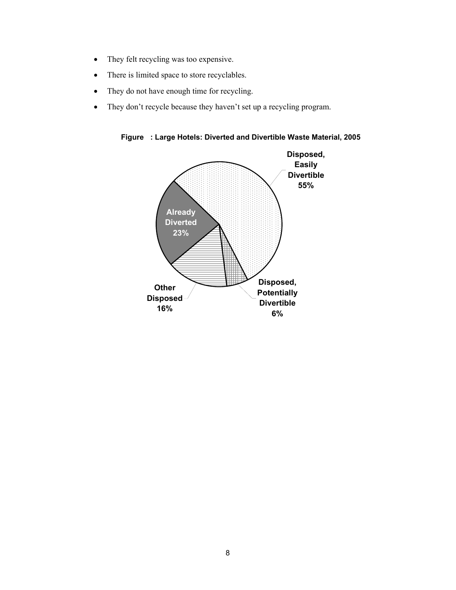- They felt recycling was too expensive.
- There is limited space to store recyclables.
- They do not have enough time for recycling.
- <span id="page-8-0"></span>• They don't recycle because they haven't set up a recycling program.

**Figure : Large Hotels: Diverted and Divertible Waste Material, 2005** 

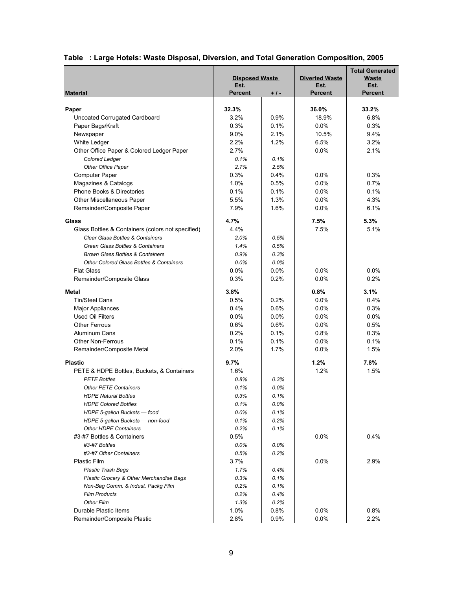|                                                                   | <b>Disposed Waste</b><br>Est. |              | <b>Diverted Waste</b><br>Est. | <b>Total Generated</b><br>Waste<br>Est. |
|-------------------------------------------------------------------|-------------------------------|--------------|-------------------------------|-----------------------------------------|
| <b>Material</b>                                                   | <b>Percent</b>                | + / -        | <b>Percent</b>                | <b>Percent</b>                          |
| Paper                                                             | 32.3%                         |              | 36.0%                         | 33.2%                                   |
| Uncoated Corrugated Cardboard                                     | 3.2%                          | 0.9%         | 18.9%                         | 6.8%                                    |
| Paper Bags/Kraft                                                  | 0.3%                          | 0.1%         | 0.0%                          | 0.3%                                    |
| Newspaper                                                         | 9.0%                          | 2.1%         | 10.5%                         | 9.4%                                    |
| White Ledger                                                      | 2.2%                          | 1.2%         | 6.5%                          | 3.2%                                    |
| Other Office Paper & Colored Ledger Paper                         | 2.7%                          |              | 0.0%                          | 2.1%                                    |
| <b>Colored Ledger</b>                                             | 0.1%                          | 0.1%         |                               |                                         |
| <b>Other Office Paper</b>                                         | 2.7%                          | 2.5%         |                               |                                         |
| <b>Computer Paper</b>                                             | 0.3%                          | 0.4%         | 0.0%                          | 0.3%                                    |
| Magazines & Catalogs                                              | 1.0%                          | 0.5%         | 0.0%                          | 0.7%                                    |
| <b>Phone Books &amp; Directories</b>                              | 0.1%                          | 0.1%         | 0.0%                          | 0.1%                                    |
| Other Miscellaneous Paper                                         | 5.5%                          | 1.3%         | 0.0%                          | 4.3%                                    |
| Remainder/Composite Paper                                         | 7.9%                          | 1.6%         | 0.0%                          | 6.1%                                    |
|                                                                   |                               |              |                               |                                         |
| Glass                                                             | 4.7%                          |              | 7.5%                          | 5.3%                                    |
| Glass Bottles & Containers (colors not specified)                 | 4.4%                          |              | 7.5%                          | 5.1%                                    |
| Clear Glass Bottles & Containers                                  | 2.0%                          | 0.5%         |                               |                                         |
| Green Glass Bottles & Containers                                  | 1.4%                          | 0.5%         |                               |                                         |
| <b>Brown Glass Bottles &amp; Containers</b>                       | 0.9%                          | 0.3%         |                               |                                         |
| <b>Other Colored Glass Bottles &amp; Containers</b>               | 0.0%                          | 0.0%         |                               |                                         |
| <b>Flat Glass</b>                                                 | 0.0%                          | $0.0\%$      | 0.0%                          | 0.0%                                    |
| Remainder/Composite Glass                                         | 0.3%                          | 0.2%         | 0.0%                          | 0.2%                                    |
| Metal                                                             | 3.8%                          |              | 0.8%                          | 3.1%                                    |
| <b>Tin/Steel Cans</b>                                             | 0.5%                          | 0.2%         | 0.0%                          | 0.4%                                    |
| <b>Major Appliances</b>                                           | 0.4%                          | 0.6%         | 0.0%                          | 0.3%                                    |
| <b>Used Oil Filters</b>                                           | 0.0%                          | $0.0\%$      | 0.0%                          | 0.0%                                    |
| <b>Other Ferrous</b>                                              | 0.6%                          | 0.6%         | 0.0%                          | 0.5%                                    |
| Aluminum Cans                                                     | 0.2%                          | 0.1%         | 0.8%                          | 0.3%                                    |
| <b>Other Non-Ferrous</b>                                          | 0.1%                          | 0.1%         | 0.0%                          | 0.1%                                    |
| Remainder/Composite Metal                                         | 2.0%                          | 1.7%         | 0.0%                          | 1.5%                                    |
| <b>Plastic</b>                                                    | 9.7%                          |              | 1.2%                          | 7.8%                                    |
|                                                                   | 1.6%                          |              | 1.2%                          | 1.5%                                    |
| PETE & HDPE Bottles, Buckets, & Containers<br><b>PETE Bottles</b> | 0.8%                          | 0.3%         |                               |                                         |
| <b>Other PETE Containers</b>                                      |                               | 0.0%         |                               |                                         |
|                                                                   | 0.1%<br>0.3%                  | 0.1%         |                               |                                         |
| <b>HDPE Natural Bottles</b><br><b>HDPE Colored Bottles</b>        | 0.1%                          | 0.0%         |                               |                                         |
|                                                                   | 0.0%                          |              |                               |                                         |
| HDPE 5-gallon Buckets - food<br>HDPE 5-gallon Buckets - non-food  | 0.1%                          | 0.1%<br>0.2% |                               |                                         |
| <b>Other HDPE Containers</b>                                      | 0.2%                          | 0.1%         |                               |                                         |
| #3-#7 Bottles & Containers                                        | 0.5%                          |              | 0.0%                          | 0.4%                                    |
| #3-#7 Bottles                                                     | 0.0%                          | $0.0\%$      |                               |                                         |
| #3-#7 Other Containers                                            | 0.5%                          | 0.2%         |                               |                                         |
| <b>Plastic Film</b>                                               | 3.7%                          |              | 0.0%                          | 2.9%                                    |
| <b>Plastic Trash Bags</b>                                         | 1.7%                          | 0.4%         |                               |                                         |
| Plastic Grocery & Other Merchandise Bags                          | 0.3%                          | 0.1%         |                               |                                         |
| Non-Bag Comm. & Indust. Packg Film                                | 0.2%                          | 0.1%         |                               |                                         |
| <b>Film Products</b>                                              | 0.2%                          | 0.4%         |                               |                                         |
| <b>Other Film</b>                                                 | 1.3%                          | 0.2%         |                               |                                         |
| Durable Plastic Items                                             | 1.0%                          | 0.8%         | 0.0%                          | 0.8%                                    |
| Remainder/Composite Plastic                                       | 2.8%                          | 0.9%         | $0.0\%$                       | 2.2%                                    |

#### <span id="page-9-0"></span>**Table : Large Hotels: Waste Disposal, Diversion, and Total Generation Composition, 2005**